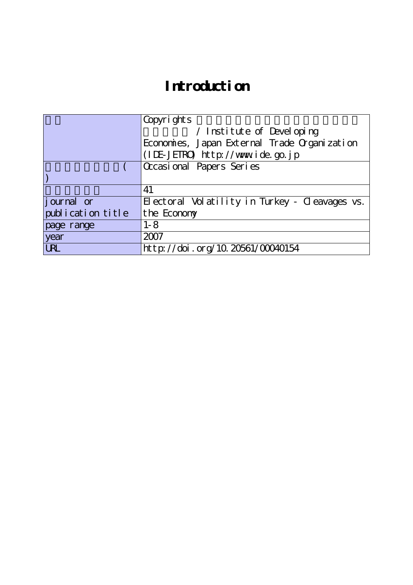# **Introduction**

|                   | Copyrights                                     |  |  |  |  |  |  |  |  |
|-------------------|------------------------------------------------|--|--|--|--|--|--|--|--|
|                   | / Institute of Developing                      |  |  |  |  |  |  |  |  |
|                   | Economies, Japan External Trade Organization   |  |  |  |  |  |  |  |  |
|                   | (IDE-JETRO) http://www.ide.go.jp               |  |  |  |  |  |  |  |  |
|                   | Occasional Papers Series                       |  |  |  |  |  |  |  |  |
|                   |                                                |  |  |  |  |  |  |  |  |
|                   | 41                                             |  |  |  |  |  |  |  |  |
| journal or        | Electoral Volatility in Turkey - Cleavages vs. |  |  |  |  |  |  |  |  |
| publication title | the Economy                                    |  |  |  |  |  |  |  |  |
| page range        | $1 - 8$                                        |  |  |  |  |  |  |  |  |
| year              | 2007                                           |  |  |  |  |  |  |  |  |
| <b>URL</b>        | http://doi.org/10.20561/00040154               |  |  |  |  |  |  |  |  |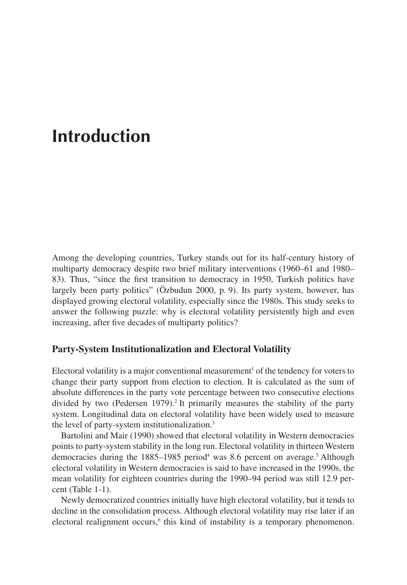# **Introduction**

Among the developing countries, Turkey stands out for its half-century history of multiparty democracy despite two brief military interventions (1960–61 and 1980– 83). Thus, "since the first transition to democracy in 1950, Turkish politics have largely been party politics" (Özbudun 2000, p. 9). Its party system, however, has displayed growing electoral volatility, especially since the 1980s. This study seeks to answer the following puzzle: why is electoral volatility persistently high and even increasing, after five decades of multiparty politics?

# **Party-System Institutionalization and Electoral Volatility**

Electoral volatility is a major conventional measurement<sup>1</sup> of the tendency for voters to change their party support from election to election. It is calculated as the sum of absolute differences in the party vote percentage between two consecutive elections divided by two (Pedersen 1979).<sup>2</sup> It primarily measures the stability of the party system. Longitudinal data on electoral volatility have been widely used to measure the level of party-system institutionalization.3

Bartolini and Mair (1990) showed that electoral volatility in Western democracies points to party-system stability in the long run. Electoral volatility in thirteen Western democracies during the  $1885-1985$  period<sup>4</sup> was 8.6 percent on average.<sup>5</sup> Although electoral volatility in Western democracies is said to have increased in the 1990s, the mean volatility for eighteen countries during the 1990–94 period was still 12.9 percent (Table 1-1).

Newly democratized countries initially have high electoral volatility, but it tends to decline in the consolidation process. Although electoral volatility may rise later if an electoral realignment occurs,<sup>6</sup> this kind of instability is a temporary phenomenon.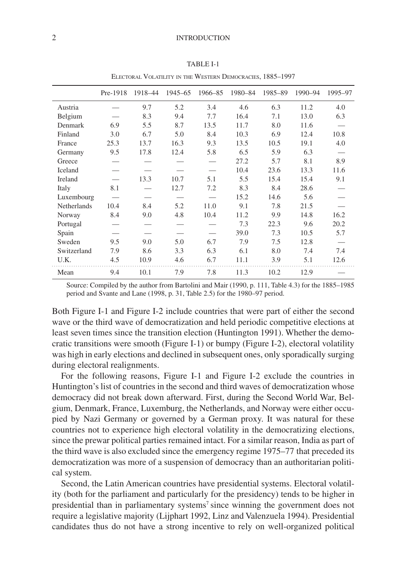| ELECTORAL VOLATILITY IN THE WESTERN DEMOCRACIES, 1885-1997 |          |         |         |         |         |         |         |         |  |
|------------------------------------------------------------|----------|---------|---------|---------|---------|---------|---------|---------|--|
|                                                            | Pre-1918 | 1918-44 | 1945–65 | 1966-85 | 1980-84 | 1985-89 | 1990-94 | 1995-97 |  |
| Austria                                                    |          | 9.7     | 5.2     | 3.4     | 4.6     | 6.3     | 11.2    | 4.0     |  |
| Belgium                                                    |          | 8.3     | 9.4     | 7.7     | 16.4    | 7.1     | 13.0    | 6.3     |  |
| Denmark                                                    | 6.9      | 5.5     | 8.7     | 13.5    | 11.7    | 8.0     | 11.6    |         |  |
| Finland                                                    | 3.0      | 6.7     | 5.0     | 8.4     | 10.3    | 6.9     | 12.4    | 10.8    |  |
| France                                                     | 25.3     | 13.7    | 16.3    | 9.3     | 13.5    | 10.5    | 19.1    | 4.0     |  |
| Germany                                                    | 9.5      | 17.8    | 12.4    | 5.8     | 6.5     | 5.9     | 6.3     |         |  |
| Greece                                                     |          |         |         |         | 27.2    | 5.7     | 8.1     | 8.9     |  |
| Iceland                                                    |          |         |         |         | 10.4    | 23.6    | 13.3    | 11.6    |  |
| Ireland                                                    |          | 13.3    | 10.7    | 5.1     | 5.5     | 15.4    | 15.4    | 9.1     |  |
| Italy                                                      | 8.1      |         | 12.7    | 7.2     | 8.3     | 8.4     | 28.6    |         |  |
| Luxembourg                                                 |          |         |         |         | 15.2    | 14.6    | 5.6     |         |  |
| Netherlands                                                | 10.4     | 8.4     | 5.2     | 11.0    | 9.1     | 7.8     | 21.5    |         |  |
| Norway                                                     | 8.4      | 9.0     | 4.8     | 10.4    | 11.2    | 9.9     | 14.8    | 16.2    |  |
| Portugal                                                   |          |         |         |         | 7.3     | 22.3    | 9.6     | 20.2    |  |
| Spain                                                      |          |         |         |         | 39.0    | 7.3     | 10.5    | 5.7     |  |
| Sweden                                                     | 9.5      | 9.0     | 5.0     | 6.7     | 7.9     | 7.5     | 12.8    |         |  |
| Switzerland                                                | 7.9      | 8.6     | 3.3     | 6.3     | 6.1     | 8.0     | 7.4     | 7.4     |  |
| U.K.                                                       | 4.5      | 10.9    | 4.6     | 6.7     | 11.1    | 3.9     | 5.1     | 12.6    |  |
| Mean                                                       | 9.4      | 10.1    | 7.9     | 7.8     | 11.3    | 10.2    | 12.9    |         |  |

TABLE I-1

Source: Compiled by the author from Bartolini and Mair (1990, p. 111, Table 4.3) for the 1885–1985 period and Svante and Lane (1998, p. 31, Table 2.5) for the 1980–97 period.

Both Figure I-1 and Figure I-2 include countries that were part of either the second wave or the third wave of democratization and held periodic competitive elections at least seven times since the transition election (Huntington 1991). Whether the democratic transitions were smooth (Figure I-1) or bumpy (Figure I-2), electoral volatility was high in early elections and declined in subsequent ones, only sporadically surging during electoral realignments.

For the following reasons, Figure I-1 and Figure I-2 exclude the countries in Huntington's list of countries in the second and third waves of democratization whose democracy did not break down afterward. First, during the Second World War, Belgium, Denmark, France, Luxemburg, the Netherlands, and Norway were either occupied by Nazi Germany or governed by a German proxy. It was natural for these countries not to experience high electoral volatility in the democratizing elections, since the prewar political parties remained intact. For a similar reason, India as part of the third wave is also excluded since the emergency regime 1975–77 that preceded its democratization was more of a suspension of democracy than an authoritarian political system.

Second, the Latin American countries have presidential systems. Electoral volatility (both for the parliament and particularly for the presidency) tends to be higher in presidential than in parliamentary systems<sup>7</sup> since winning the government does not require a legislative majority (Lijphart 1992, Linz and Valenzuela 1994). Presidential candidates thus do not have a strong incentive to rely on well-organized political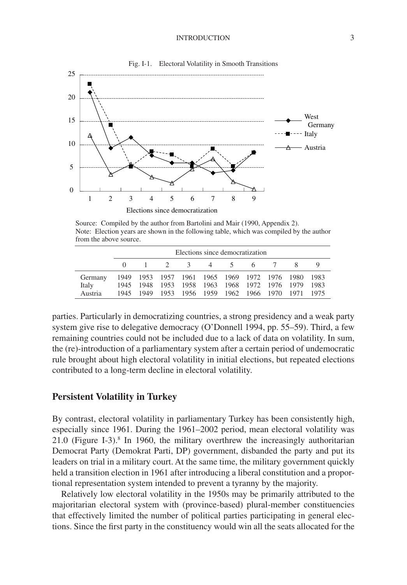#### INTRODUCTION 3



Fig. I-1. Electoral Volatility in Smooth Transitions

Source: Compiled by the author from Bartolini and Mair (1990, Appendix 2). Note: Election years are shown in the following table, which was compiled by the author from the above source.

|         | Elections since democratization |  |  |  |  |  |                                                   |  |  |  |
|---------|---------------------------------|--|--|--|--|--|---------------------------------------------------|--|--|--|
|         |                                 |  |  |  |  |  | 1 2 3 4 5 6 7                                     |  |  |  |
| Germany |                                 |  |  |  |  |  | 1949 1953 1957 1961 1965 1969 1972 1976 1980 1983 |  |  |  |
| Italy   |                                 |  |  |  |  |  | 1945 1948 1953 1958 1963 1968 1972 1976 1979 1983 |  |  |  |
| Austria |                                 |  |  |  |  |  | 1945 1949 1953 1956 1959 1962 1966 1970 1971 1975 |  |  |  |

parties. Particularly in democratizing countries, a strong presidency and a weak party system give rise to delegative democracy (O'Donnell 1994, pp. 55–59). Third, a few remaining countries could not be included due to a lack of data on volatility. In sum, the (re)-introduction of a parliamentary system after a certain period of undemocratic rule brought about high electoral volatility in initial elections, but repeated elections contributed to a long-term decline in electoral volatility.

#### **Persistent Volatility in Turkey**

By contrast, electoral volatility in parliamentary Turkey has been consistently high, especially since 1961. During the 1961–2002 period, mean electoral volatility was 21.0 (Figure I-3).8 In 1960, the military overthrew the increasingly authoritarian Democrat Party (Demokrat Parti, DP) government, disbanded the party and put its leaders on trial in a military court. At the same time, the military government quickly held a transition election in 1961 after introducing a liberal constitution and a proportional representation system intended to prevent a tyranny by the majority.

Relatively low electoral volatility in the 1950s may be primarily attributed to the majoritarian electoral system with (province-based) plural-member constituencies that effectively limited the number of political parties participating in general elections. Since the first party in the constituency would win all the seats allocated for the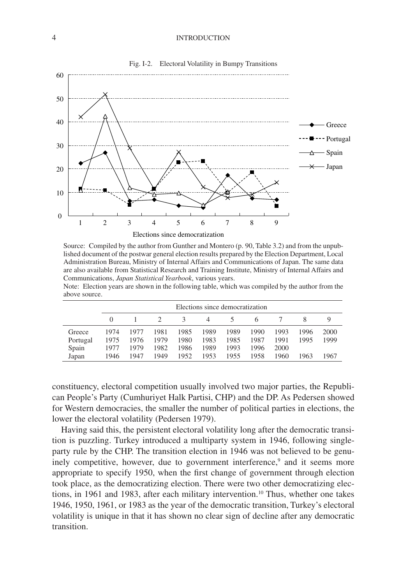#### 4 INTRODUCTION



Fig. I-2. Electoral Volatility in Bumpy Transitions

Source: Compiled by the author from Gunther and Montero (p. 90, Table 3.2) and from the unpublished document of the postwar general election results prepared by the Election Department, Local Administration Bureau, Ministry of Internal Affairs and Communications of Japan. The same data are also available from Statistical Research and Training Institute, Ministry of Internal Affairs and Communications, *Japan Statistical Yearbook*, various years.

Note: Election years are shown in the following table, which was compiled by the author from the above source.

|          |      | Elections since democratization |      |               |      |      |      |      |      |      |
|----------|------|---------------------------------|------|---------------|------|------|------|------|------|------|
|          |      |                                 |      | $\mathcal{R}$ | 4    | 5    |      |      |      |      |
| Greece   | 1974 | 1977                            | 1981 | 1985          | 1989 | 1989 | 1990 | 1993 | 1996 | 2000 |
| Portugal | 1975 | 1976                            | 1979 | 1980          | 1983 | 1985 | 1987 | 1991 | 1995 | 1999 |
| Spain    | 1977 | 1979                            | 1982 | 1986          | 1989 | 1993 | 1996 | 2000 |      |      |
| Japan    | 1946 | 1947                            | 1949 | 1952          | 1953 | 1955 | 1958 | 1960 | 1963 | 1967 |

constituency, electoral competition usually involved two major parties, the Republican People's Party (Cumhuriyet Halk Partisi, CHP) and the DP. As Pedersen showed for Western democracies, the smaller the number of political parties in elections, the lower the electoral volatility (Pedersen 1979).

Having said this, the persistent electoral volatility long after the democratic transition is puzzling. Turkey introduced a multiparty system in 1946, following singleparty rule by the CHP. The transition election in 1946 was not believed to be genuinely competitive, however, due to government interference,<sup>9</sup> and it seems more appropriate to specify 1950, when the first change of government through election took place, as the democratizing election. There were two other democratizing elections, in 1961 and 1983, after each military intervention.10 Thus, whether one takes 1946, 1950, 1961, or 1983 as the year of the democratic transition, Turkey's electoral volatility is unique in that it has shown no clear sign of decline after any democratic transition.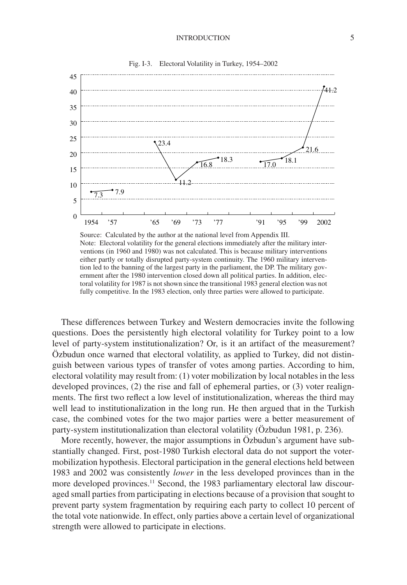Fig. I-3. Electoral Volatility in Turkey, 1954–2002



Source: Calculated by the author at the national level from Appendix III. Note: Electoral volatility for the general elections immediately after the military interventions (in 1960 and 1980) was not calculated. This is because military interventions either partly or totally disrupted party-system continuity. The 1960 military intervention led to the banning of the largest party in the parliament, the DP. The military government after the 1980 intervention closed down all political parties. In addition, electoral volatility for 1987 is not shown since the transitional 1983 general election was not fully competitive. In the 1983 election, only three parties were allowed to participate.

These differences between Turkey and Western democracies invite the following questions. Does the persistently high electoral volatility for Turkey point to a low level of party-system institutionalization? Or, is it an artifact of the measurement? Özbudun once warned that electoral volatility, as applied to Turkey, did not distinguish between various types of transfer of votes among parties. According to him, electoral volatility may result from: (1) voter mobilization by local notables in the less developed provinces, (2) the rise and fall of ephemeral parties, or (3) voter realignments. The first two reflect a low level of institutionalization, whereas the third may well lead to institutionalization in the long run. He then argued that in the Turkish case, the combined votes for the two major parties were a better measurement of party-system institutionalization than electoral volatility (Özbudun 1981, p. 236).

More recently, however, the major assumptions in Özbudun's argument have substantially changed. First, post-1980 Turkish electoral data do not support the votermobilization hypothesis. Electoral participation in the general elections held between 1983 and 2002 was consistently *lower* in the less developed provinces than in the more developed provinces.<sup>11</sup> Second, the 1983 parliamentary electoral law discouraged small parties from participating in elections because of a provision that sought to prevent party system fragmentation by requiring each party to collect 10 percent of the total vote nationwide. In effect, only parties above a certain level of organizational strength were allowed to participate in elections.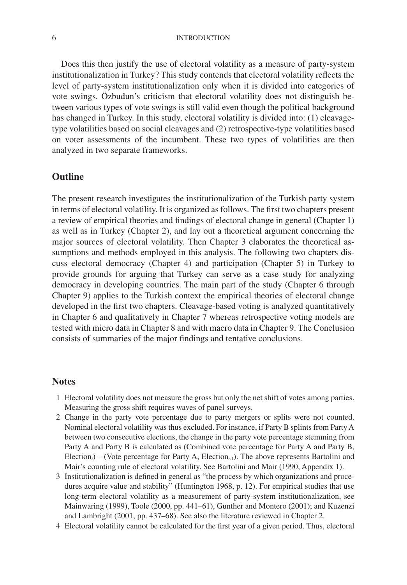#### 6 INTRODUCTION

Does this then justify the use of electoral volatility as a measure of party-system institutionalization in Turkey? This study contends that electoral volatility reflects the level of party-system institutionalization only when it is divided into categories of vote swings. Özbudun's criticism that electoral volatility does not distinguish between various types of vote swings is still valid even though the political background has changed in Turkey. In this study, electoral volatility is divided into: (1) cleavagetype volatilities based on social cleavages and (2) retrospective-type volatilities based on voter assessments of the incumbent. These two types of volatilities are then analyzed in two separate frameworks.

## **Outline**

The present research investigates the institutionalization of the Turkish party system in terms of electoral volatility. It is organized as follows. The first two chapters present a review of empirical theories and findings of electoral change in general (Chapter 1) as well as in Turkey (Chapter 2), and lay out a theoretical argument concerning the major sources of electoral volatility. Then Chapter 3 elaborates the theoretical assumptions and methods employed in this analysis. The following two chapters discuss electoral democracy (Chapter 4) and participation (Chapter 5) in Turkey to provide grounds for arguing that Turkey can serve as a case study for analyzing democracy in developing countries. The main part of the study (Chapter 6 through Chapter 9) applies to the Turkish context the empirical theories of electoral change developed in the first two chapters. Cleavage-based voting is analyzed quantitatively in Chapter 6 and qualitatively in Chapter 7 whereas retrospective voting models are tested with micro data in Chapter 8 and with macro data in Chapter 9. The Conclusion consists of summaries of the major findings and tentative conclusions.

### **Notes**

- 1 Electoral volatility does not measure the gross but only the net shift of votes among parties. Measuring the gross shift requires waves of panel surveys.
- 2 Change in the party vote percentage due to party mergers or splits were not counted. Nominal electoral volatility was thus excluded. For instance, if Party B splints from Party A between two consecutive elections, the change in the party vote percentage stemming from Party A and Party B is calculated as (Combined vote percentage for Party A and Party B, Election<sub>*t*</sub>) − (Vote percentage for Party A, Election<sub>*t*-1</sub>). The above represents Bartolini and Mair's counting rule of electoral volatility. See Bartolini and Mair (1990, Appendix 1).
- 3 Institutionalization is defined in general as "the process by which organizations and procedures acquire value and stability" (Huntington 1968, p. 12). For empirical studies that use long-term electoral volatility as a measurement of party-system institutionalization, see Mainwaring (1999), Toole (2000, pp. 441–61), Gunther and Montero (2001); and Kuzenzi and Lambright (2001, pp. 437–68). See also the literature reviewed in Chapter 2.
- 4 Electoral volatility cannot be calculated for the first year of a given period. Thus, electoral